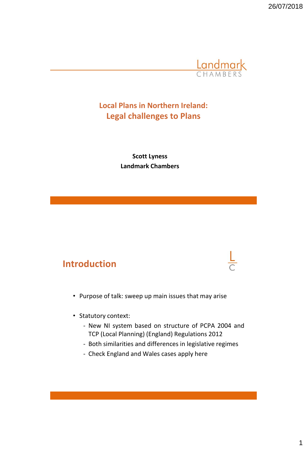

### **Local Plans in Northern Ireland: Legal challenges to Plans**

**Scott Lyness Landmark Chambers**

### **Introduction**



- Purpose of talk: sweep up main issues that may arise
- Statutory context:
	- New NI system based on structure of PCPA 2004 and TCP (Local Planning) (England) Regulations 2012
	- Both similarities and differences in legislative regimes
	- Check England and Wales cases apply here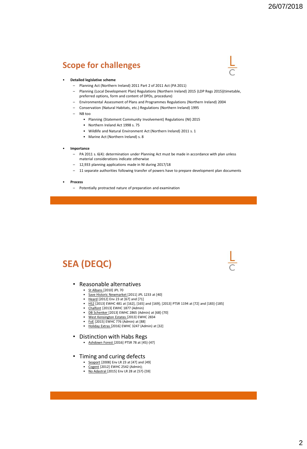### **Scope for challenges**



#### • **Detailed legislative scheme**

- Planning Act (Northern Ireland) 2011 Part 2 of 2011 Act (PA 2011)
- Planning (Local Development Plan) Regulations (Northern Ireland) 2015 (LDP Regs 2015)(timetable, preferred options, form and content of DPDs, procedure)
- Environmental Assessment of Plans and Programmes Regulations (Northern Ireland) 2004
- Conservation (Natural Habitats, etc.) Regulations (Northern Ireland) 1995
- NB too
	- Planning (Statement Community Involvement) Regulations (NI) 2015
	- Northern Ireland Act 1998 s. 75
	- Wildlife and Natural Environment Act (Northern Ireland) 2011 s. 1
	- Marine Act (Northern Ireland) s. 8
- **Importance**
	- PA 2011 s. 6(4): determination under Planning Act must be made in accordance with plan unless material considerations indicate otherwise
	- 12,933 planning applications made in NI during 2017/18
	- 11 separate authorities following transfer of powers have to prepare development plan documents
- **Process**
	- Potentially protracted nature of preparation and examination

### **SEA (DEQC)**

#### • Reasonable alternatives

- St Albans [2010] JPL 70
- Save Historic Newmarket [2011] JPL 1233 at [40]<br>• Heard [2012] Env 23 at [67] and [71]
- Heard [2012] Env 23 at [67] and [71]
- $\frac{152}{10013}$  EWHC 481 at [162], [165] and [169]; [2013] PTSR 1194 at [72] and [183]-[185]
- Chalfont [2013] EWHC 1877 (Admin)
- <u>DB Schenker [</u>2013] EWHC 2865 (Admin) at [68]-[70]<br>• West Kensington Estates [2013] EWHC 2834
- West Kensington Estates [2013] EWHC 2834
- FoE [2015] EWHC 776 (Admin) at [88] • Holiday Extras [2016] EWHC 3247 (Admin) at [32]

#### • Distinction with Habs Regs

- Ashdown Forest [2016] PTSR 78 at [45]-[47]
- Timing and curing defects
	- Seaport [2008] Env LR 23 at [47] and [49]
	- Cogent [2012] EWHC 2542 (Admin);
	- No Adastral [2015] Env LR 28 at  $[57]$ -[59]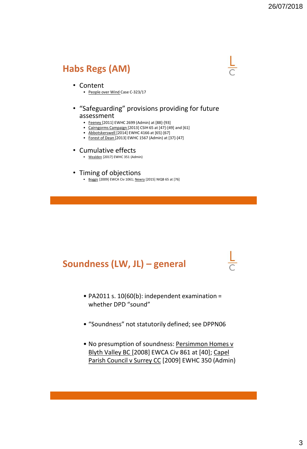## **Habs Regs (AM)**

#### • Content

• People over Wind Case C-323/17

### • "Safeguarding" provisions providing for future assessment

- Feeney [2011] EWHC 2699 (Admin) at [88]-[93]
- Cairngorms Campaign [2013] CSIH 65 at [47]-[49] and [61]
- Abbotskerswell [2014] EWHC 4166 at [65]-[67]
- Forest of Dean [2013] EWHC 1567 (Admin) at [37]-[47]

#### • Cumulative effects

• Wealden [2017] EWHC 351 (Admin)

### • Timing of objections

• Boggis [2009] EWCA Civ 1061; Newry [2015] NIQB 65 at [76]

## **Soundness (LW, JL) – general**

- PA2011 s. 10(60(b): independent examination = whether DPD "sound"
- "Soundness" not statutorily defined; see DPPN06
- No presumption of soundness: Persimmon Homes v Blyth Valley BC [2008] EWCA Civ 861 at [40]; Capel Parish Council v Surrey CC [2009] EWHC 350 (Admin)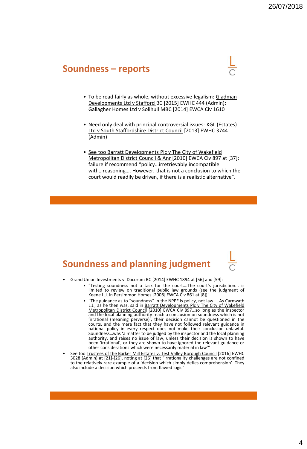### **Soundness – reports**

- To be read fairly as whole, without excessive legalism: Gladman Developments Ltd v Stafford BC [2015] EWHC 444 (Admin); Gallagher Homes Ltd v Solihull MBC [2014] EWCA Civ 1610
- Need only deal with principal controversial issues: KGL (Estates) Ltd v South Staffordshire District Council [2013] EWHC 3744 (Admin)
- See too Barratt Developments Plc v The City of Wakefield Metropolitan District Council & Anr [2010] EWCA Civ 897 at [37]: failure if recommend "policy…irretrievably incompatible with…reasoning…. However, that is not a conclusion to which the court would readily be driven, if there is a realistic alternative".

### **Soundness and planning judgment**

- Grand Union Investments v. Dacorum BC [2014] EWHC 1894 at [56] and [59]:
	- "Testing soundness not a task for the court….The court's jurisdiction... is limited to review on traditional public law grounds (see the judgment of Keene L.J. in Persimmon Homes [2008] EWCA Civ 861 at [8])"
	- "The guidance as to "soundness" in the NPPF is policy, not law…. As Carnwath L.J., as he then was, said in Barratt Developments Plc v The City of Wakefield Metropolitan District Council [2010] EWCA Civ 897…so long as the inspector and the local planning authority reach a conclusion on soundness which is not 'irrational (meaning perverse)', their decision cannot be questioned in the courts, and the mere fact that they have not followed relevant guidance in national policy in every respect does not make their conclusion unlawful. Soundness…was 'a matter to be judged by the inspector and the local planning authority, and raises no issue of law, unless their decision is shown to have been 'irrational', or they are shown to have ignored the relevant guidance or other considerations which were necessarily material in law'
- See too Trustees of the Barker Mill Estates v. Test Valley Borough Council [2016] EWHC 3028 (Admin) at [21]-[26], noting at [26] that "irrationality challenges are not confined to the relatively rare example of a 'decision which simply defies comprehension'. They also include a decision which proceeds from flawed logic"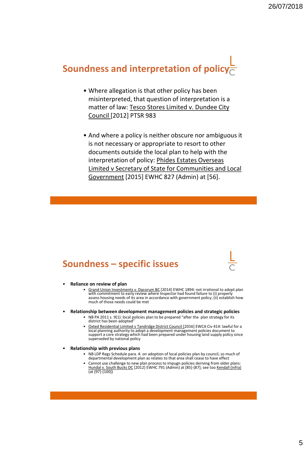# **Soundness and interpretation of policy**

- Where allegation is that other policy has been misinterpreted, that question of interpretation is a matter of law: Tesco Stores Limited v. Dundee City Council [2012] PTSR 983
- And where a policy is neither obscure nor ambiguous it is not necessary or appropriate to resort to other documents outside the local plan to help with the interpretation of policy: Phides Estates Overseas Limited v Secretary of State for Communities and Local Government [2015] EWHC 827 (Admin) at [56].

### **Soundness – specific issues**

- **Reliance on review of plan**
	- Grand Union Investments v. Dacorum BC [2014] EWHC 1894: not irrational to adopt plan with commitment to early review where Inspector had found failure to (i) properly assess housing needs of its area in accordance with government policy; (ii) establish how much of those needs could be met
- **Relationship between development management policies and strategic policies**
	- NB PA 2011 s. 9(1): local policies plan to be prepared "after the plan strategy for its district has been adopted"
	- Oxted Residential Limited v Tandridge District Council [2016] EWCA Civ 414: lawful for a local planning authority to adopt a development management policies document to support a core strategy which had been prepared under housing land supply policy since superseded by national policy
- **Relationship with previous plans**
	- NB LDP Regs Schedule para. 4: on adoption of local policies plan by council, so much of departmental development plan as relates to that area shall cease to have effect
	- Cannot use challenge to new plan process to impugn policies deriving from older plans: <u>Hundal v. South Bucks DC</u> [2012] EWHC 791 (Admin) at [85]-[87]; see too <u>Kendall (infra</u>)<br>(at [97]-[100])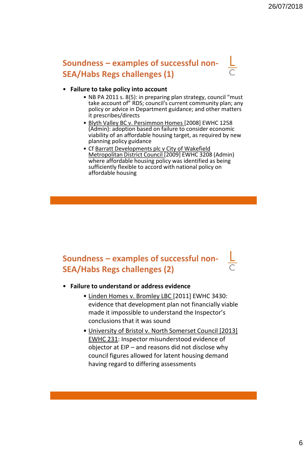### **Soundness – examples of successful non-SEA/Habs Regs challenges (1)**

### • **Failure to take policy into account**

- NB PA 2011 s. 8(5): in preparing plan strategy, council "must take account of" RDS; council's current community plan; any policy or advice in Department guidance; and other matters it prescribes/directs
- Blyth Valley BC v. Persimmon Homes [2008] EWHC 1258 (Admin): adoption based on failure to consider economic viability of an affordable housing target, as required by new planning policy guidance
- Cf Barratt Developments plc v City of Wakefield Metropolitan District Council [2009] EWHC 3208 (Admin) where affordable housing policy was identified as being sufficiently flexible to accord with national policy on affordable housing

### **Soundness – examples of successful non-SEA/Habs Regs challenges (2)**

#### • **Failure to understand or address evidence**

- Linden Homes v. Bromley LBC [2011] EWHC 3430: evidence that development plan not financially viable made it impossible to understand the Inspector's conclusions that it was sound
- University of Bristol v. North Somerset Council [2013] EWHC 231: Inspector misunderstood evidence of objector at EIP – and reasons did not disclose why council figures allowed for latent housing demand having regard to differing assessments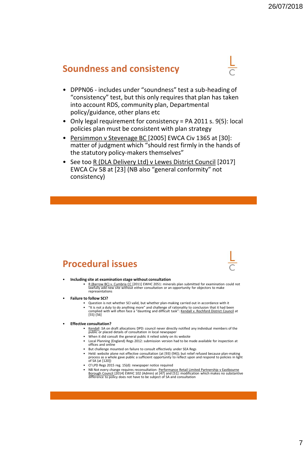### **Soundness and consistency**

- DPPN06 includes under "soundness" test a sub-heading of "consistency" test, but this only requires that plan has taken into account RDS, community plan, Departmental policy/guidance, other plans etc
- Only legal requirement for consistency = PA 2011 s. 9(5): local policies plan must be consistent with plan strategy
- Persimmon v Stevenage BC [2005] EWCA Civ 1365 at [30]: matter of judgment which "should rest firmly in the hands of the statutory policy-makers themselves"
- See too R (DLA Delivery Ltd) v Lewes District Council [2017] EWCA Civ 58 at [23] (NB also "general conformity" not consistency)

### **Procedural issues**

#### • **Including site at examination stage without consultation**

- R (Barrow BC) v. Cumbria CC [2011] EWHC 2051: minerals plan submitted for examination could not lawfully add new site without either consultation or an opportunity for objectors to make representations
- **Failure to follow SCI?** 
	- Question is not whether SCI valid, but whether plan-making carried out in accordance with it
	- "It is not a duty to do anything more" and challenge of rationality to conclusion that it had been complied with will often face a "daunting and difficult task": Kendall v. Rochford District Council at complied<br>[55]-[56]

#### • **Effective consultation?**

- Kendall :SA on draft allocations DPD: council never directly notified any individual members of the public or placed details of consultation in local newspaper
- When it did consult the general public it relied solely on its website
- Local Planning (England) Regs 2012: submission version had to be made available for inspection at offices and online
- But challenge mounted on failure to consult effectively under SEA Regs
- Held: website alone not effective consultation (at [93]-[94]); but relief refused because plan-making process as a whole gave public a sufficient opportunity to reflect upon and respond to policies in light of SA (at [120])
- Cf LPD Regs 2015 reg. 15(d): newspaper notice required
- NB Not every change requires reconsultation: <u>Performance Retail Limited Partnership v Eastbourne</u><br>Borough Council [2014] EWHC 102 (Admin) at [47] and [51]: modification which makes no substantive<br>difference to policy do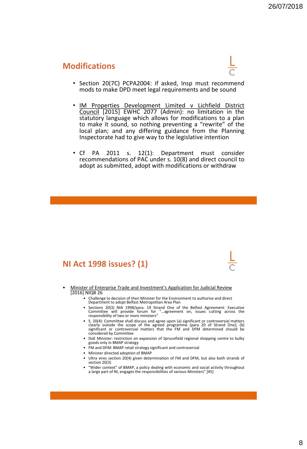### **Modifications**



- Section 20(7C) PCPA2004: if asked, Insp must recommend mods to make DPD meet legal requirements and be sound
- IM Properties Development Limited v Lichfield District Council [2015] EWHC 2077 (Admin): no limitation in the statutory language which allows for modifications to a plan to make it sound, so nothing preventing a "rewrite" of the local plan; and any differing guidance from the Planning Inspectorate had to give way to the legislative intention
- Cf PA 2011 s. 12(1): Department must consider recommendations of PAC under s. 10(8) and direct council to adopt as submitted, adopt with modifications or withdraw

### **NI Act 1998 issues? (1)**

- Minister of Enterprise Trade and Investment's Application for Judicial Review [2016] NIQB 26
	- Challenge to decision of then Minister for the Environment to authorise and direct Department to adopt Belfast Metropolitan Area Plan
	- Sections 20(3) NIA 1998/para. 19 Strand One of the Belfast Agreement: Executive Committee will provide forum for "…agreement on, issues cutting across the responsibility of two or more ministers"
	- S. 20(4): Committee shall discuss and agree upon (a) significant or controversial matters clearly outside the scope of the agreed programme (para 20 of Strand One); (b) significant or controversial matters that the FM an considered by Committee
	- DoE Minister: restriction on expansion of Sprucefield regional shopping centre to bulky goods only in BMAP strategy
	- FM and DFM: BMAP retail strategy significant and controversial
	- Minister directed adoption of BMAP
	- Ultra vires section 20(4) given determination of FM and DFM, but also both strands of section 20(3)
	- "Wider context" of BMAP, a policy dealing with economic and social activity throughout a large part of NI, engages the responsibilities of various Ministers" [45]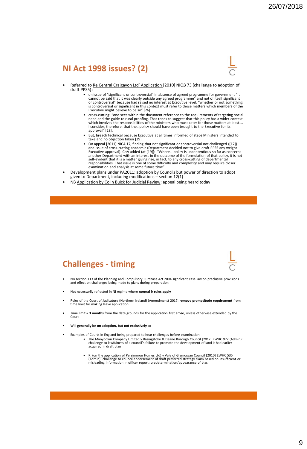### **NI Act 1998 issues? (2)**



- Referred to Re Central Craigavon Ltd' Application [2010] NIQB 73 (challenge to adoption of draft PPS5) :
	- on issue of "significant or controversial" in absence of agreed programme for government "it cannot be said that it was clearly outside any agreed programme" and not of itself significant or controversial" because had ra Executive might believe to be so" [26]
	- cross-cutting: "one sees within the document reference to the requirements of targeting social need and the guide to rural proofing. That tends to suggest that this policy has a wider context which involves the responsibilities of the ministers who must cater for those matters at least…. I consider, therefore, that the…policy should have been brought to the Executive for its approval" [28].
	- But, breach technical because Executive at all times informed of steps Ministers intended to take and no objection taken [29]
	- On appeal [2011] NICA 17, finding that not significant or controversial not challenged ([17])<br>and issue of cross-cutting academic (Department decided not to give draft PPS5 any weight<br>Executive approval). CoA added (at [ another Department with an interest in the outcome of the formulation of that policy, it is not self-evident that it is a matter giving rise, in fact, to any cross-cutting of departmental responsibilities. That issue is one of some difficulty and complexity and may require closer examination and analysis at some future time".
- Development plans under PA2011: adoption by Councils but power of direction to adopt given to Department, including modifications – section 12(1)
- NB Application by Colin Buick for Judicial Review: appeal being heard today

### **Challenges - timing**

- NB section 113 of the Planning and Compulsory Purchase Act 2004 significant case law on preclusive provisions and effect on challenges being made to plans during preparation
- Not necessarily reflected in NI regime where **normal jr rules apply**
- Rules of the Court of Judicature (Northern Ireland) (Amendment) 2017: **remove promptitude requirement** from time limit for making leave application
- Time limit = **3 months** from the date grounds for the application first arose, unless otherwise extended by the Court
- Will **generally be on adoption, but not exclusively so**
	- Examples of Courts in England being prepared to hear challenges before examination:
		- The Manydown Company Limited v Basingstoke & Deane Borough Council [2012] EWHC 977 (Admin): challenge to lawfulness of a council's failure to promote the development of land it had earlier acquired in draft plan
		- R. (on the application of Persimmon Homes Ltd) v Vale of Glamorgan Council [2010] EWHC 535<br>(Admin): challenge to council endorsement of draft preferred strategy claim based on insufficient or<br>(historing information in of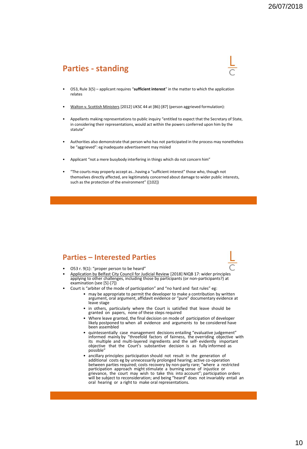### **Parties - standing**



- O53, Rule 3(5) applicant requires "**sufficient interest**" in the matter to which the application relates
- Walton v. Scottish Ministers [2012] UKSC 44 at [86]-[87] (person aggrieved formulation):
- Appellants making representations to public inquiry "entitled to expect that the Secretary of State, in considering their representations, would act within the powers conferred upon him by the statute"
- Authorities also demonstrate that person who has not participated in the process may nonetheless be "aggrieved": eg inadequate advertisement may misled
- Applicant "not a mere busybody interfering in things which do not concern him"
- "The courts may properly accept as...having a "sufficient interest" those who, though not themselves directly affected, are legitimately concerned about damage to wider public interests, such as the protection of the environment" ([102])

### **Parties – Interested Parties**

- O53 r. 9(1): "proper person to be heard"
- Application by Belfast City Council for Judicial Review [2018] NIQB 17: wider principles applying to other challenges, including those by participants (or non-participants?) at examination (see [5]-[7])
- Court is "arbiter of the mode of participation" and "no hard and fast rules" eg:
	- may be appropriate to permit the developer to make a contribution by written argument, oral argument, affidavit evidence or "pure" documentary evidence at leave stage
		- in others, particularly where the Court is satisfied that leave should be granted on papers, none of these steps required
		- Where leave granted, the final decision on mode of participation of developer likely postponed to when all evidence and arguments to be considered have been assembled
	- quintessentially case management decisions entailing "evaluative judgement" informed mainly by "threefold factors of fairness, the overriding objective with its multiple and multi-layered ingredients and the self- evidently important objective that the Court's substantive decision is as fully informed as possible"
	- ancillary principles: participation should not result in the generation of additional costs eg by unnecessarily prolonged hearing; active co-operation between parties required; costs recovery by non-party rare; "where a restricted participation approach might stimulate a burning sense of injustice or grievance, the court may wish to take this into account"; participation orders will be subject to reconsideration; and being "heard" does not invariably entail an oral hearing or a right to make oral representations.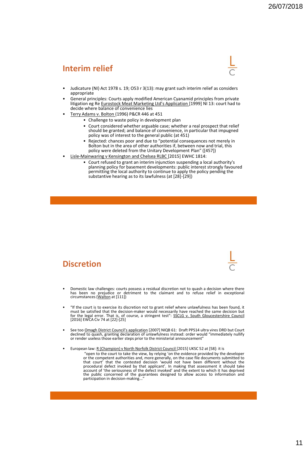### **Interim relief**



- Judicature (NI) Act 1978 s. 19; O53 r 3(13): may grant such interim relief as considers appropriate
- General principles: Courts apply modified American Cyanamid principles from private litigation eg Re Eurostock Meat Marketing Ltd's Application [1999] NI 13: court had to decide where balance of convenience lies
- Terry Adams v. Bolton (1996) P&CR 446 at 451
	- Challenge to waste policy in development plan
	- Court considered whether arguable case; whether a real prospect that relief should be granted; and balance of convenience, in particular that impugned policy was of interest to the general public (at 451)
	- Rejected: chances poor and due to "potential consequences not merely in Bolton but in the area of other authorities if, between now and trial, this policy were deleted from the Unitary Development Plan" ([457])
- Lisle-Mainwaring v Kensington and Chelsea RLBC [2015] EWHC 1814:
	- Court refused to grant an interim injunction suspending a local authority's planning policy for basement developments: public interest strongly favoured permitting the local authority to continue to apply the policy pending the substantive hearing as to its lawfulness (at [28]-[29])



- Domestic law challenges: courts possess a residual discretion not to quash a decision where there has been no prejudice or detriment to the claimant and to refuse relief in exceptional<br>circumstances(<u>Walton</u> at [111])
- "If the court is to exercise its discretion not to grant relief where unlawfulness has been found, it must be satisfied that the decision-maker would necessarily have reached the same decision but<br>for the legal error. That is, of course, a stringent test": <u>SSCLG v. South Gloucestershire Council</u> [2016] EWCA Civ 74 at [22]-[25]
- See too Omagh District Council's application [2007] NIQB 61: Draft PPS14 ultra vires DRD but Court declined to quash, granting declaration of unlawfulness instead: order would "immediately nullify or render useless those earlier steps prior to the ministerial announcement"
- European law: R (Champion) v North Norfolk District Council [2015] UKSC 52 at [58]: it is
	- "open to the court to take the view, by relying 'on the evidence provided by the developer or the competent authorities and, more generally, on the case file documents submitted to that court' that the contested decision 'would not have been different without the procedural defect invoked by that applicant'. In making that assessment it should take account of 'the seriousness of the defect invoked' and the extent to which it has deprived the public concerned of the guarantees designed to allow access to information and participation in decision-making..."